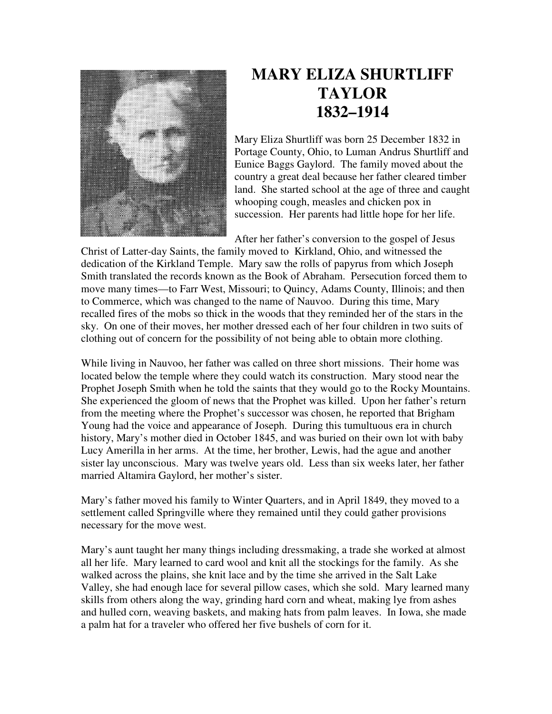

## **MARY ELIZA SHURTLIFF TAYLOR 1832–1914**

Mary Eliza Shurtliff was born 25 December 1832 in Portage County, Ohio, to Luman Andrus Shurtliff and Eunice Baggs Gaylord. The family moved about the country a great deal because her father cleared timber land. She started school at the age of three and caught whooping cough, measles and chicken pox in succession. Her parents had little hope for her life.

After her father's conversion to the gospel of Jesus

Christ of Latter-day Saints, the family moved to Kirkland, Ohio, and witnessed the dedication of the Kirkland Temple. Mary saw the rolls of papyrus from which Joseph Smith translated the records known as the Book of Abraham. Persecution forced them to move many times—to Farr West, Missouri; to Quincy, Adams County, Illinois; and then to Commerce, which was changed to the name of Nauvoo. During this time, Mary recalled fires of the mobs so thick in the woods that they reminded her of the stars in the sky. On one of their moves, her mother dressed each of her four children in two suits of clothing out of concern for the possibility of not being able to obtain more clothing.

While living in Nauvoo, her father was called on three short missions. Their home was located below the temple where they could watch its construction. Mary stood near the Prophet Joseph Smith when he told the saints that they would go to the Rocky Mountains. She experienced the gloom of news that the Prophet was killed. Upon her father's return from the meeting where the Prophet's successor was chosen, he reported that Brigham Young had the voice and appearance of Joseph. During this tumultuous era in church history, Mary's mother died in October 1845, and was buried on their own lot with baby Lucy Amerilla in her arms. At the time, her brother, Lewis, had the ague and another sister lay unconscious. Mary was twelve years old. Less than six weeks later, her father married Altamira Gaylord, her mother's sister.

Mary's father moved his family to Winter Quarters, and in April 1849, they moved to a settlement called Springville where they remained until they could gather provisions necessary for the move west.

Mary's aunt taught her many things including dressmaking, a trade she worked at almost all her life. Mary learned to card wool and knit all the stockings for the family. As she walked across the plains, she knit lace and by the time she arrived in the Salt Lake Valley, she had enough lace for several pillow cases, which she sold. Mary learned many skills from others along the way, grinding hard corn and wheat, making lye from ashes and hulled corn, weaving baskets, and making hats from palm leaves. In Iowa, she made a palm hat for a traveler who offered her five bushels of corn for it.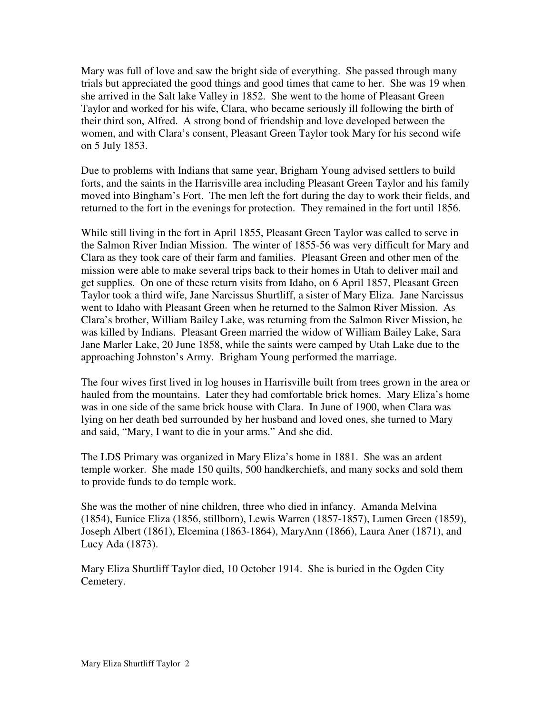Mary was full of love and saw the bright side of everything. She passed through many trials but appreciated the good things and good times that came to her. She was 19 when she arrived in the Salt lake Valley in 1852. She went to the home of Pleasant Green Taylor and worked for his wife, Clara, who became seriously ill following the birth of their third son, Alfred. A strong bond of friendship and love developed between the women, and with Clara's consent, Pleasant Green Taylor took Mary for his second wife on 5 July 1853.

Due to problems with Indians that same year, Brigham Young advised settlers to build forts, and the saints in the Harrisville area including Pleasant Green Taylor and his family moved into Bingham's Fort. The men left the fort during the day to work their fields, and returned to the fort in the evenings for protection. They remained in the fort until 1856.

While still living in the fort in April 1855, Pleasant Green Taylor was called to serve in the Salmon River Indian Mission. The winter of 1855-56 was very difficult for Mary and Clara as they took care of their farm and families. Pleasant Green and other men of the mission were able to make several trips back to their homes in Utah to deliver mail and get supplies. On one of these return visits from Idaho, on 6 April 1857, Pleasant Green Taylor took a third wife, Jane Narcissus Shurtliff, a sister of Mary Eliza. Jane Narcissus went to Idaho with Pleasant Green when he returned to the Salmon River Mission. As Clara's brother, William Bailey Lake, was returning from the Salmon River Mission, he was killed by Indians. Pleasant Green married the widow of William Bailey Lake, Sara Jane Marler Lake, 20 June 1858, while the saints were camped by Utah Lake due to the approaching Johnston's Army. Brigham Young performed the marriage.

The four wives first lived in log houses in Harrisville built from trees grown in the area or hauled from the mountains. Later they had comfortable brick homes. Mary Eliza's home was in one side of the same brick house with Clara. In June of 1900, when Clara was lying on her death bed surrounded by her husband and loved ones, she turned to Mary and said, "Mary, I want to die in your arms." And she did.

The LDS Primary was organized in Mary Eliza's home in 1881. She was an ardent temple worker. She made 150 quilts, 500 handkerchiefs, and many socks and sold them to provide funds to do temple work.

She was the mother of nine children, three who died in infancy. Amanda Melvina (1854), Eunice Eliza (1856, stillborn), Lewis Warren (1857-1857), Lumen Green (1859), Joseph Albert (1861), Elcemina (1863-1864), MaryAnn (1866), Laura Aner (1871), and Lucy Ada (1873).

Mary Eliza Shurtliff Taylor died, 10 October 1914. She is buried in the Ogden City Cemetery.